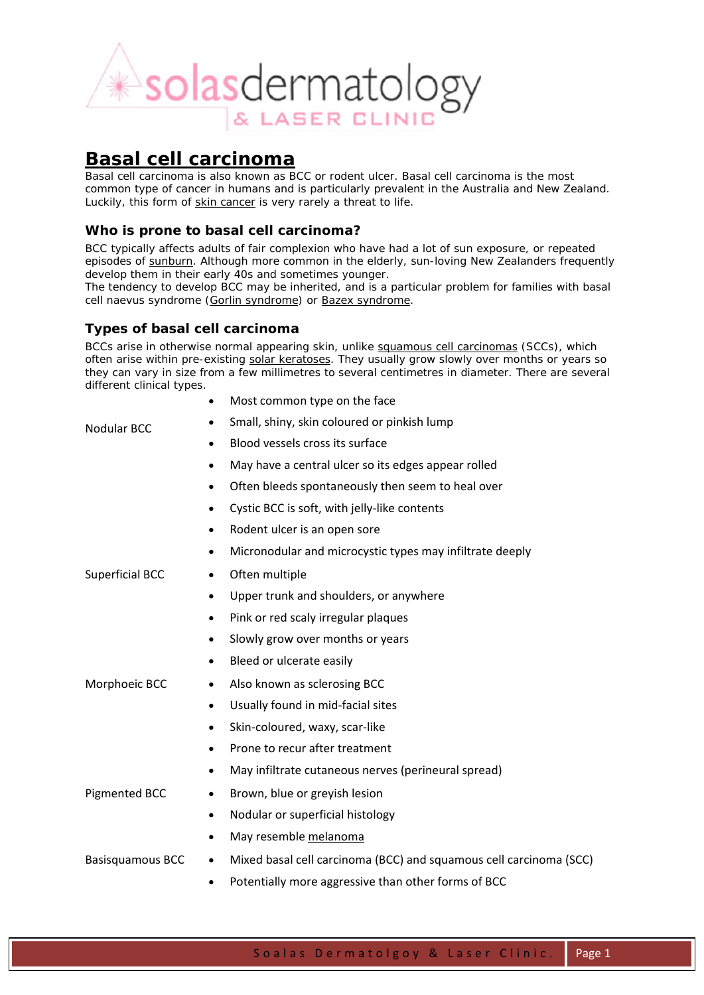

# **Basal cell carcinoma**

Basal cell carcinoma is also known as *BCC* or *rodent ulcer*. Basal cell carcinoma is the most common type of cancer in humans and is particularly prevalent in the Australia and New Zealand. Luckily, this form of skin cancer is very rarely a threat to life.

# *Who is prone to basal cell carcinoma?*

BCC typically affects adults of fair complexion who have had a lot of sun exposure, or repeated episodes of sunburn. Although more common in the elderly, sun-loving New Zealanders frequently develop them in their early 40s and sometimes younger.

The tendency to develop BCC may be inherited, and is a particular problem for families with basal cell naevus syndrome (Gorlin syndrome) or Bazex syndrome.

# *Types of basal cell carcinoma*

BCCs arise in otherwise normal appearing skin, unlike squamous cell carcinomas (SCCs), which often arise within pre-existing solar keratoses. They usually grow slowly over months or years so they can vary in size from a few millimetres to several centimetres in diameter. There are several different clinical types.

| Nodular BCC                    | Most common type on the face<br>$\bullet$                                       |
|--------------------------------|---------------------------------------------------------------------------------|
|                                | Small, shiny, skin coloured or pinkish lump                                     |
|                                | Blood vessels cross its surface<br>$\bullet$                                    |
|                                | May have a central ulcer so its edges appear rolled<br>٠                        |
|                                | Often bleeds spontaneously then seem to heal over<br>$\bullet$                  |
|                                | Cystic BCC is soft, with jelly-like contents<br>$\bullet$                       |
|                                | Rodent ulcer is an open sore<br>٠                                               |
|                                | Micronodular and microcystic types may infiltrate deeply<br>$\bullet$           |
| <b>Superficial BCC</b>         | Often multiple<br>$\bullet$                                                     |
| Morphoeic BCC<br>Pigmented BCC | Upper trunk and shoulders, or anywhere<br>$\bullet$                             |
|                                | Pink or red scaly irregular plaques<br>$\bullet$                                |
|                                | Slowly grow over months or years<br>$\bullet$                                   |
|                                | Bleed or ulcerate easily<br>٠                                                   |
|                                | Also known as sclerosing BCC                                                    |
|                                | Usually found in mid-facial sites<br>$\bullet$                                  |
|                                | Skin-coloured, waxy, scar-like<br>$\bullet$                                     |
|                                | Prone to recur after treatment<br>$\bullet$                                     |
|                                | May infiltrate cutaneous nerves (perineural spread)<br>$\bullet$                |
|                                | Brown, blue or greyish lesion<br>$\bullet$                                      |
|                                | Nodular or superficial histology<br>$\bullet$                                   |
|                                | May resemble melanoma                                                           |
| <b>Basisquamous BCC</b>        | Mixed basal cell carcinoma (BCC) and squamous cell carcinoma (SCC)<br>$\bullet$ |
|                                | Potentially more aggressive than other forms of BCC<br>$\bullet$                |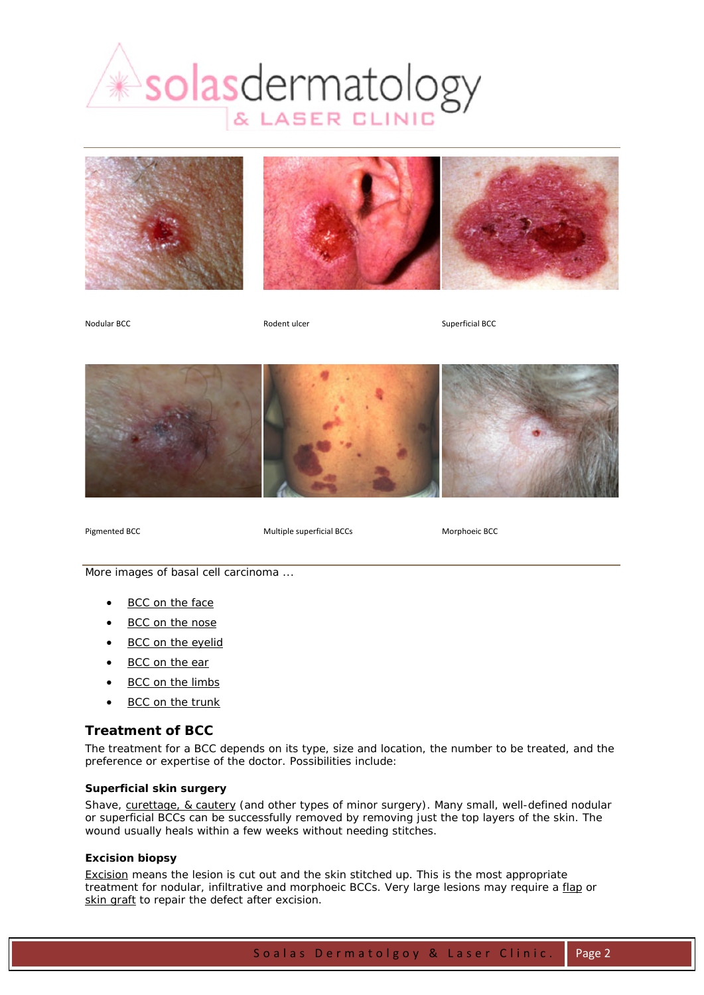







Nodular BCC **Rodent ulcer** Rodent ulcer Superficial BCC



Pigmented BCC Multiple superficial BCCs Morphoeic BCC

More images of basal cell carcinoma ...

- BCC on the face
- **BCC** on the nose
- BCC on the eyelid
- BCC on the ear
- BCC on the limbs
- BCC on the trunk

# *Treatment of BCC*

The treatment for a BCC depends on its type, size and location, the number to be treated, and the preference or expertise of the doctor. Possibilities include:

## **Superficial skin surgery**

Shave, curettage, & cautery (and other types of minor surgery). Many small, well-defined nodular or superficial BCCs can be successfully removed by removing just the top layers of the skin. The wound usually heals within a few weeks without needing stitches.

## **Excision biopsy**

Excision means the lesion is cut out and the skin stitched up. This is the most appropriate treatment for nodular, infiltrative and morphoeic BCCs. Very large lesions may require a flap or skin graft to repair the defect after excision.